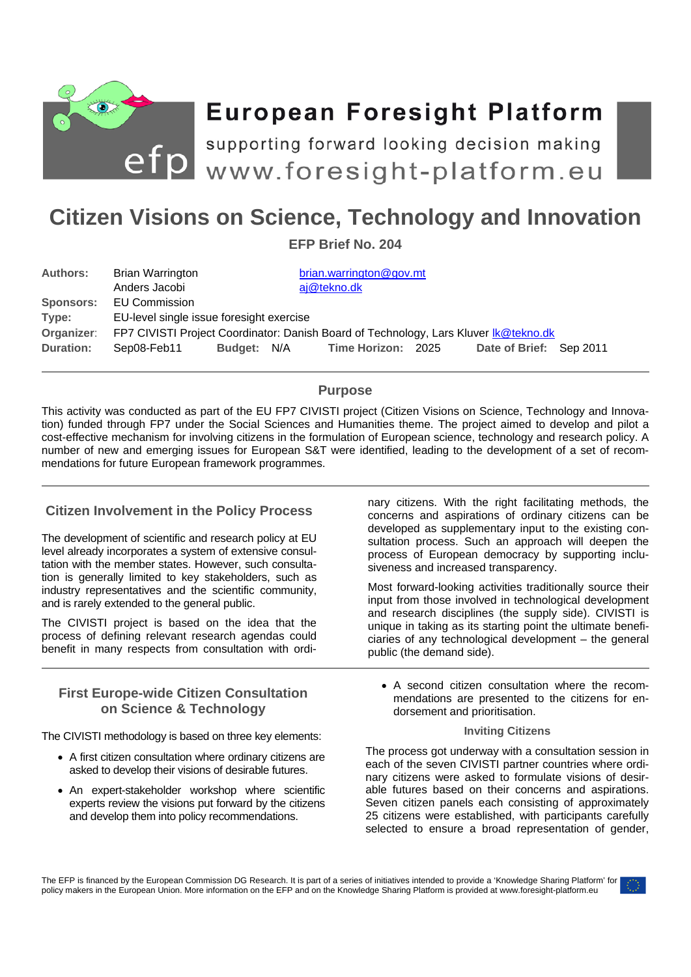

# **European Foresight Platform**

efp supporting forward looking decision making<br>efp www.foresight-platform.eu

## **Citizen Visions on Science, Technology and Innovation**

**EFP Brief No. 204** 

| <b>Authors:</b>  | Brian Warrington                                                                     |             |  | brian.warrington@gov.mt |  |                         |  |
|------------------|--------------------------------------------------------------------------------------|-------------|--|-------------------------|--|-------------------------|--|
|                  | Anders Jacobi                                                                        |             |  | aj@tekno.dk             |  |                         |  |
| <b>Sponsors:</b> | <b>EU Commission</b>                                                                 |             |  |                         |  |                         |  |
| Type:            | EU-level single issue foresight exercise                                             |             |  |                         |  |                         |  |
| Organizer:       | FP7 CIVISTI Project Coordinator: Danish Board of Technology, Lars Kluver Ik@tekno.dk |             |  |                         |  |                         |  |
| <b>Duration:</b> | Sep08-Feb11                                                                          | Budget: N/A |  | Time Horizon: 2025      |  | Date of Brief: Sep 2011 |  |

## **Purpose**

This activity was conducted as part of the EU FP7 CIVISTI project (Citizen Visions on Science, Technology and Innovation) funded through FP7 under the Social Sciences and Humanities theme. The project aimed to develop and pilot a cost-effective mechanism for involving citizens in the formulation of European science, technology and research policy. A number of new and emerging issues for European S&T were identified, leading to the development of a set of recommendations for future European framework programmes.

## **Citizen Involvement in the Policy Process**

The development of scientific and research policy at EU level already incorporates a system of extensive consultation with the member states. However, such consultation is generally limited to key stakeholders, such as industry representatives and the scientific community, and is rarely extended to the general public.

The CIVISTI project is based on the idea that the process of defining relevant research agendas could benefit in many respects from consultation with ordi-

## **First Europe-wide Citizen Consultation on Science & Technology**

The CIVISTI methodology is based on three key elements:

- A first citizen consultation where ordinary citizens are asked to develop their visions of desirable futures.
- An expert-stakeholder workshop where scientific experts review the visions put forward by the citizens and develop them into policy recommendations.

nary citizens. With the right facilitating methods, the concerns and aspirations of ordinary citizens can be developed as supplementary input to the existing consultation process. Such an approach will deepen the process of European democracy by supporting inclusiveness and increased transparency.

Most forward-looking activities traditionally source their input from those involved in technological development and research disciplines (the supply side). CIVISTI is unique in taking as its starting point the ultimate beneficiaries of any technological development – the general public (the demand side).

 A second citizen consultation where the recommendations are presented to the citizens for endorsement and prioritisation.

#### **Inviting Citizens**

The process got underway with a consultation session in each of the seven CIVISTI partner countries where ordinary citizens were asked to formulate visions of desirable futures based on their concerns and aspirations. Seven citizen panels each consisting of approximately 25 citizens were established, with participants carefully selected to ensure a broad representation of gender,

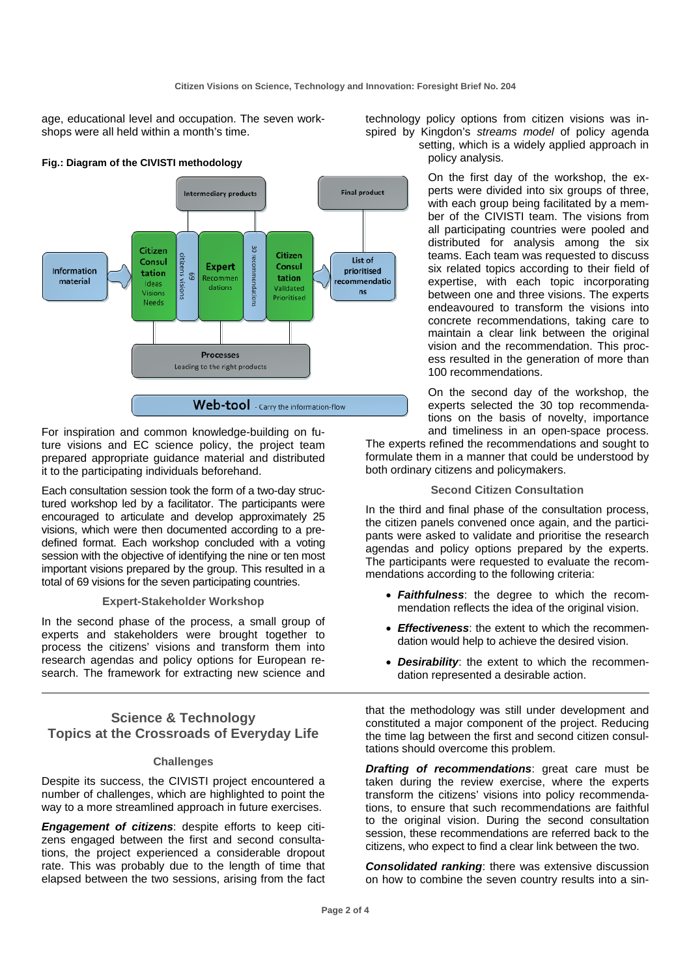age, educational level and occupation. The seven workshops were all held within a month's time.



For inspiration and common knowledge-building on future visions and EC science policy, the project team prepared appropriate guidance material and distributed it to the participating individuals beforehand.

Each consultation session took the form of a two-day structured workshop led by a facilitator. The participants were encouraged to articulate and develop approximately 25 visions, which were then documented according to a predefined format. Each workshop concluded with a voting session with the objective of identifying the nine or ten most important visions prepared by the group. This resulted in a total of 69 visions for the seven participating countries.

#### **Expert-Stakeholder Workshop**

In the second phase of the process, a small group of experts and stakeholders were brought together to process the citizens' visions and transform them into research agendas and policy options for European research. The framework for extracting new science and

## **Science & Technology Topics at the Crossroads of Everyday Life**

#### **Challenges**

Despite its success, the CIVISTI project encountered a number of challenges, which are highlighted to point the way to a more streamlined approach in future exercises.

*Engagement of citizens*: despite efforts to keep citizens engaged between the first and second consultations, the project experienced a considerable dropout rate. This was probably due to the length of time that elapsed between the two sessions, arising from the fact technology policy options from citizen visions was inspired by Kingdon's *streams model* of policy agenda setting, which is a widely applied approach in policy analysis.

> On the first day of the workshop, the experts were divided into six groups of three, with each group being facilitated by a member of the CIVISTI team. The visions from all participating countries were pooled and distributed for analysis among the six teams. Each team was requested to discuss six related topics according to their field of expertise, with each topic incorporating between one and three visions. The experts endeavoured to transform the visions into concrete recommendations, taking care to maintain a clear link between the original vision and the recommendation. This process resulted in the generation of more than 100 recommendations.

> On the second day of the workshop, the experts selected the 30 top recommendations on the basis of novelty, importance and timeliness in an open-space process.

The experts refined the recommendations and sought to formulate them in a manner that could be understood by both ordinary citizens and policymakers.

#### **Second Citizen Consultation**

In the third and final phase of the consultation process, the citizen panels convened once again, and the participants were asked to validate and prioritise the research agendas and policy options prepared by the experts. The participants were requested to evaluate the recommendations according to the following criteria:

- *Faithfulness*: the degree to which the recommendation reflects the idea of the original vision.
- *Effectiveness*: the extent to which the recommendation would help to achieve the desired vision.
- *Desirability*: the extent to which the recommendation represented a desirable action.

that the methodology was still under development and constituted a major component of the project. Reducing the time lag between the first and second citizen consultations should overcome this problem.

*Drafting of recommendations*: great care must be taken during the review exercise, where the experts transform the citizens' visions into policy recommendations, to ensure that such recommendations are faithful to the original vision. During the second consultation session, these recommendations are referred back to the citizens, who expect to find a clear link between the two.

*Consolidated ranking*: there was extensive discussion on how to combine the seven country results into a sin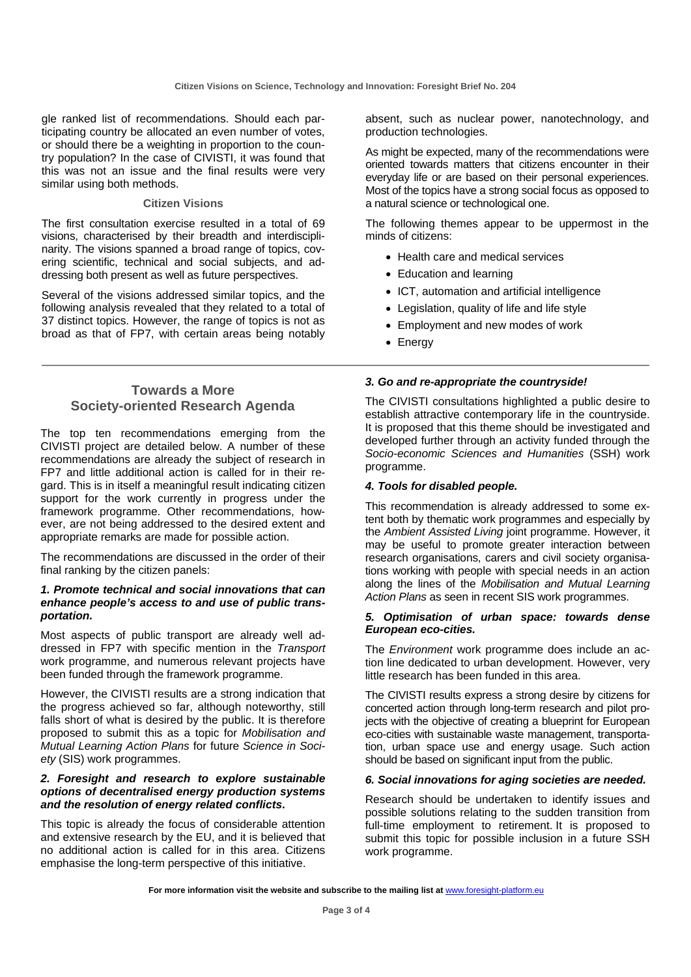gle ranked list of recommendations. Should each participating country be allocated an even number of votes, or should there be a weighting in proportion to the country population? In the case of CIVISTI, it was found that this was not an issue and the final results were very similar using both methods.

#### **Citizen Visions**

The first consultation exercise resulted in a total of 69 visions, characterised by their breadth and interdisciplinarity. The visions spanned a broad range of topics, covering scientific, technical and social subjects, and addressing both present as well as future perspectives.

Several of the visions addressed similar topics, and the following analysis revealed that they related to a total of 37 distinct topics. However, the range of topics is not as broad as that of FP7, with certain areas being notably

## **Towards a More Society-oriented Research Agenda**

The top ten recommendations emerging from the CIVISTI project are detailed below. A number of these recommendations are already the subject of research in FP7 and little additional action is called for in their regard. This is in itself a meaningful result indicating citizen support for the work currently in progress under the framework programme. Other recommendations, however, are not being addressed to the desired extent and appropriate remarks are made for possible action.

The recommendations are discussed in the order of their final ranking by the citizen panels:

#### *1. Promote technical and social innovations that can enhance people's access to and use of public transportation.*

Most aspects of public transport are already well addressed in FP7 with specific mention in the *Transport* work programme, and numerous relevant projects have been funded through the framework programme.

However, the CIVISTI results are a strong indication that the progress achieved so far, although noteworthy, still falls short of what is desired by the public. It is therefore proposed to submit this as a topic for *Mobilisation and Mutual Learning Action Plans* for future *Science in Society* (SIS) work programmes.

#### *2. Foresight and research to explore sustainable options of decentralised energy production systems and the resolution of energy related conflicts***.**

This topic is already the focus of considerable attention and extensive research by the EU, and it is believed that no additional action is called for in this area. Citizens emphasise the long-term perspective of this initiative.

absent, such as nuclear power, nanotechnology, and production technologies.

As might be expected, many of the recommendations were oriented towards matters that citizens encounter in their everyday life or are based on their personal experiences. Most of the topics have a strong social focus as opposed to a natural science or technological one.

The following themes appear to be uppermost in the minds of citizens:

- Health care and medical services
- Education and learning
- ICT, automation and artificial intelligence
- Legislation, quality of life and life style
- Employment and new modes of work
- Energy

#### *3. Go and re-appropriate the countryside!*

The CIVISTI consultations highlighted a public desire to establish attractive contemporary life in the countryside. It is proposed that this theme should be investigated and developed further through an activity funded through the *Socio-economic Sciences and Humanities* (SSH) work programme.

#### *4. Tools for disabled people.*

This recommendation is already addressed to some extent both by thematic work programmes and especially by the *Ambient Assisted Living* joint programme. However, it may be useful to promote greater interaction between research organisations, carers and civil society organisations working with people with special needs in an action along the lines of the *Mobilisation and Mutual Learning Action Plans* as seen in recent SIS work programmes.

#### *5. Optimisation of urban space: towards dense European eco-cities.*

The *Environment* work programme does include an action line dedicated to urban development. However, very little research has been funded in this area.

The CIVISTI results express a strong desire by citizens for concerted action through long-term research and pilot projects with the objective of creating a blueprint for European eco-cities with sustainable waste management, transportation, urban space use and energy usage. Such action should be based on significant input from the public.

### *6. Social innovations for aging societies are needed.*

Research should be undertaken to identify issues and possible solutions relating to the sudden transition from full-time employment to retirement. It is proposed to submit this topic for possible inclusion in a future SSH work programme.

For more information visit the website and subscribe to the mailing list at www.foresight-platform.eu